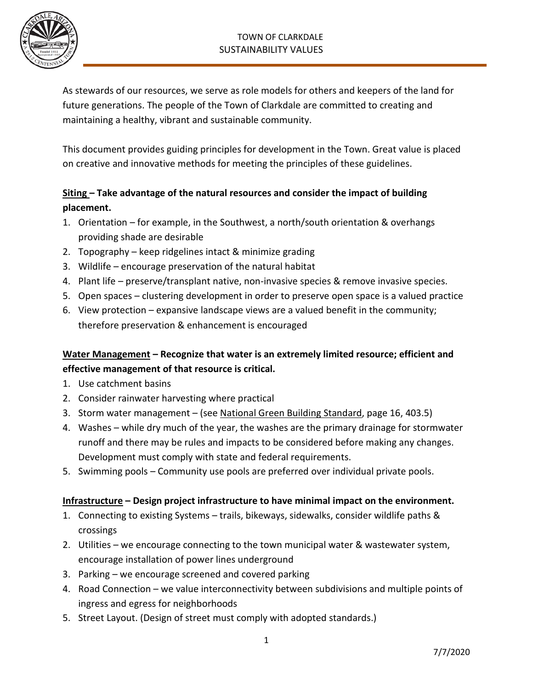## TOWN OF CLARKDALE SUSTAINABILITY VALUES



As stewards of our resources, we serve as role models for others and keepers of the land for future generations. The people of the Town of Clarkdale are committed to creating and maintaining a healthy, vibrant and sustainable community.

This document provides guiding principles for development in the Town. Great value is placed on creative and innovative methods for meeting the principles of these guidelines.

## **Siting – Take advantage of the natural resources and consider the impact of building placement.**

- 1. Orientation for example, in the Southwest, a north/south orientation & overhangs providing shade are desirable
- 2. Topography keep ridgelines intact & minimize grading
- 3. Wildlife encourage preservation of the natural habitat
- 4. Plant life preserve/transplant native, non-invasive species & remove invasive species.
- 5. Open spaces clustering development in order to preserve open space is a valued practice
- 6. View protection expansive landscape views are a valued benefit in the community; therefore preservation & enhancement is encouraged

# **Water Management – Recognize that water is an extremely limited resource; efficient and effective management of that resource is critical.**

- 1. Use catchment basins
- 2. Consider rainwater harvesting where practical
- 3. Storm water management (see National Green Building Standard, page 16, 403.5)
- 4. Washes while dry much of the year, the washes are the primary drainage for stormwater runoff and there may be rules and impacts to be considered before making any changes. Development must comply with state and federal requirements.
- 5. Swimming pools Community use pools are preferred over individual private pools.

## **Infrastructure – Design project infrastructure to have minimal impact on the environment.**

- 1. Connecting to existing Systems trails, bikeways, sidewalks, consider wildlife paths & crossings
- 2. Utilities we encourage connecting to the town municipal water & wastewater system, encourage installation of power lines underground
- 3. Parking we encourage screened and covered parking
- 4. Road Connection we value interconnectivity between subdivisions and multiple points of ingress and egress for neighborhoods
- 5. Street Layout. (Design of street must comply with adopted standards.)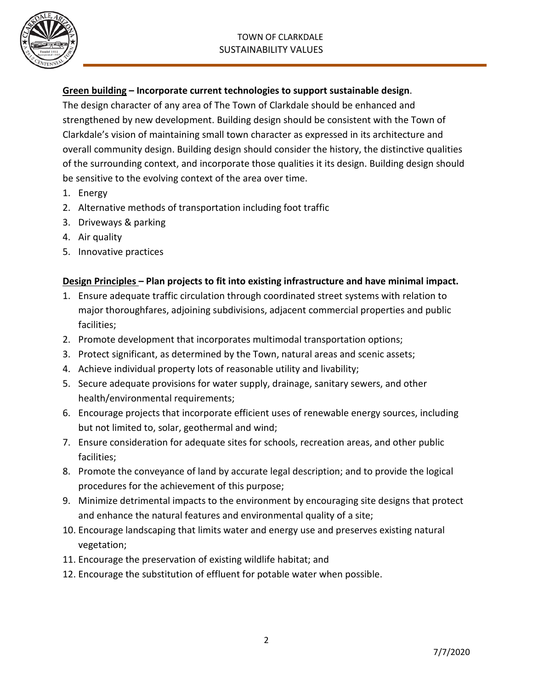

#### **Green building – Incorporate current technologies to support sustainable design**.

The design character of any area of The Town of Clarkdale should be enhanced and strengthened by new development. Building design should be consistent with the Town of Clarkdale's vision of maintaining small town character as expressed in its architecture and overall community design. Building design should consider the history, the distinctive qualities of the surrounding context, and incorporate those qualities it its design. Building design should be sensitive to the evolving context of the area over time.

- 1. Energy
- 2. Alternative methods of transportation including foot traffic
- 3. Driveways & parking
- 4. Air quality
- 5. Innovative practices

## **Design Principles – Plan projects to fit into existing infrastructure and have minimal impact.**

- 1. Ensure adequate traffic circulation through coordinated street systems with relation to major thoroughfares, adjoining subdivisions, adjacent commercial properties and public facilities;
- 2. Promote development that incorporates multimodal transportation options;
- 3. Protect significant, as determined by the Town, natural areas and scenic assets;
- 4. Achieve individual property lots of reasonable utility and livability;
- 5. Secure adequate provisions for water supply, drainage, sanitary sewers, and other health/environmental requirements;
- 6. Encourage projects that incorporate efficient uses of renewable energy sources, including but not limited to, solar, geothermal and wind;
- 7. Ensure consideration for adequate sites for schools, recreation areas, and other public facilities;
- 8. Promote the conveyance of land by accurate legal description; and to provide the logical procedures for the achievement of this purpose;
- 9. Minimize detrimental impacts to the environment by encouraging site designs that protect and enhance the natural features and environmental quality of a site;
- 10. Encourage landscaping that limits water and energy use and preserves existing natural vegetation;
- 11. Encourage the preservation of existing wildlife habitat; and
- 12. Encourage the substitution of effluent for potable water when possible.